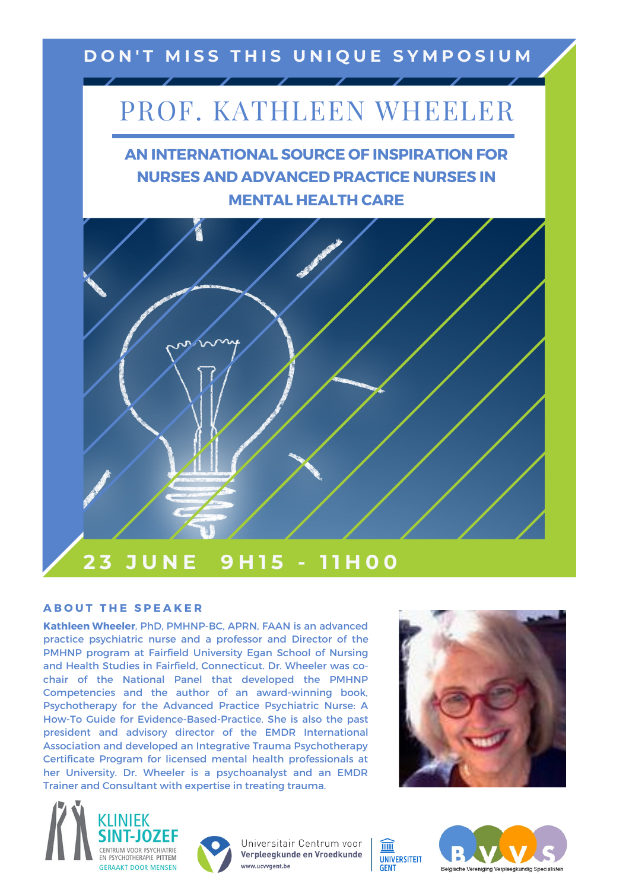## DON'T MISS THIS UNIQUE SYMPOSIUM

## PROF. KATHLEEN WHEELER

**AN INTERNATIONAL SOURCE OF INSPIRATION FOR NURSES AND ADVANCED PRACTICE NURSES IN MENTAL HEALTH CARE**



## **A B O U T T H E S P E A K E R**

**Kathleen Wheeler**, PhD, PMHNP-BC, APRN, FAAN is an advanced practice psychiatric nurse and a professor and Director of the PMHNP program at Fairfield University Egan School of Nursing and Health Studies in Fairfield, Connecticut. Dr. Wheeler was cochair of the National Panel that developed the PMHNP Competencies and the author of an award-winning book, Psychotherapy for the Advanced Practice Psychiatric Nurse: A How-To Guide for Evidence-Based-Practice. She is also the past president and advisory director of the EMDR International Association and developed an Integrative Trauma Psychotherapy Certificate Program for licensed mental health professionals at her University. Dr. Wheeler is a psychoanalyst and an EMDR Trainer and Consultant with expertise in treating trauma.